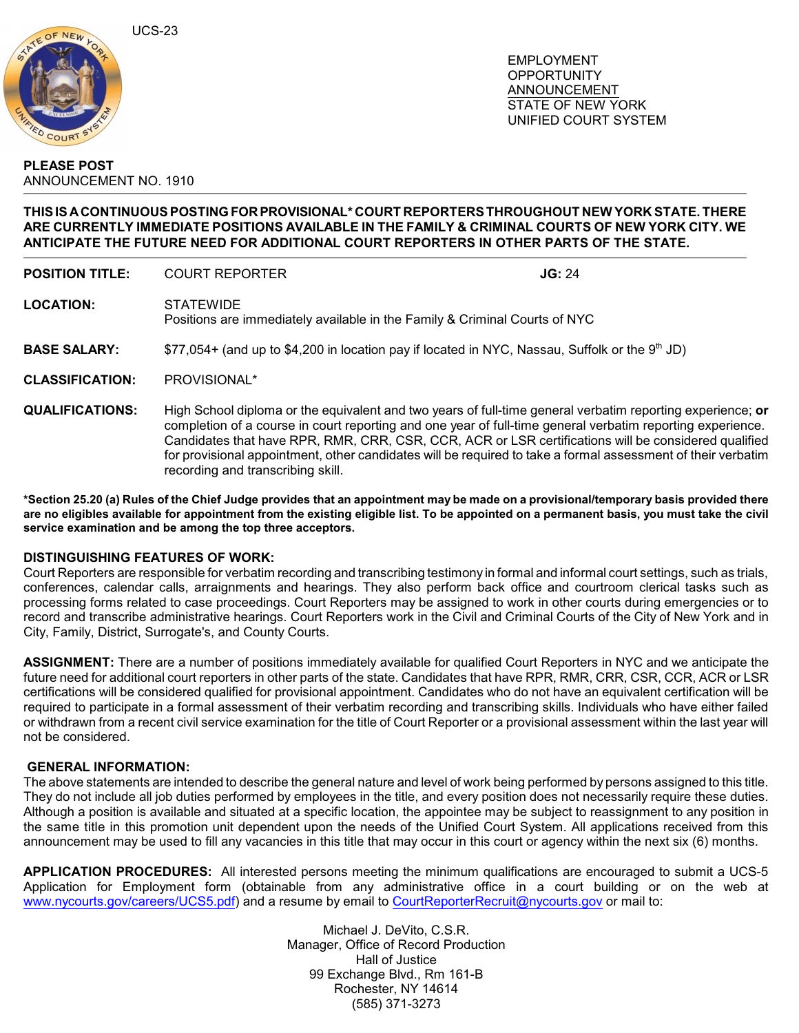UCS-23



 EMPLOYMENT **OPPORTUNITY**  ANNOUNCEMENT STATE OF NEW YORK UNIFIED COURT SYSTEM

## **PLEASE POST** ANNOUNCEMENT NO. 1910

## **THIS IS ACONTINUOUS POSTING FOR PROVISIONAL\* COURT REPORTERS THROUGHOUT NEW YORK STATE. THERE ARE CURRENTLY IMMEDIATE POSITIONS AVAILABLE IN THE FAMILY & CRIMINAL COURTS OF NEW YORK CITY. WE ANTICIPATE THE FUTURE NEED FOR ADDITIONAL COURT REPORTERS IN OTHER PARTS OF THE STATE.**

| <b>POSITION TITLE:</b> | <b>COURT REPORTER</b>                                                                            | JG: 24 |
|------------------------|--------------------------------------------------------------------------------------------------|--------|
| <b>LOCATION:</b>       | <b>STATEWIDE</b><br>Positions are immediately available in the Family & Criminal Courts of NYC   |        |
| <b>BASE SALARY:</b>    | \$77,054+ (and up to \$4,200 in location pay if located in NYC, Nassau, Suffolk or the $9th$ JD) |        |
| <b>CLASSIFICATION:</b> | PROVISIONAL*                                                                                     |        |
| <b>QUALIFICATIONS:</b> | High School diploma or the equivalent and two years of full-time general verbatim reporting      |        |

**q** experience; **or** completion of a course in court reporting and one year of full-time general verbatim reporting experience. Candidates that have RPR, RMR, CRR, CSR, CCR, ACR or LSR certifications will be considered qualified for provisional appointment, other candidates will be required to take a formal assessment of their verbatim recording and transcribing skill.

**\*Section 25.20 (a) Rules of the Chief Judge provides that an appointment may be made on a provisional/temporary basis provided there are no eligibles available for appointment from the existing eligible list. To be appointed on a permanent basis, you must take the civil service examination and be among the top three acceptors.**

## **DISTINGUISHING FEATURES OF WORK:**

Court Reporters are responsible for verbatim recording and transcribing testimony in formal and informal court settings, such as trials, conferences, calendar calls, arraignments and hearings. They also perform back office and courtroom clerical tasks such as processing forms related to case proceedings. Court Reporters may be assigned to work in other courts during emergencies or to record and transcribe administrative hearings. Court Reporters work in the Civil and Criminal Courts of the City of New York and in City, Family, District, Surrogate's, and County Courts.

**ASSIGNMENT:** There are a number of positions immediately available for qualified Court Reporters in NYC and we anticipate the future need for additional court reporters in other parts of the state. Candidates that have RPR, RMR, CRR, CSR, CCR, ACR or LSR certifications will be considered qualified for provisional appointment. Candidates who do not have an equivalent certification will be required to participate in a formal assessment of their verbatim recording and transcribing skills. Individuals who have either failed or withdrawn from a recent civil service examination for the title of Court Reporter or a provisional assessment within the last year will not be considered.

## **GENERAL INFORMATION:**

The above statements are intended to describe the general nature and level of work being performed by persons assigned to this title. They do not include all job duties performed by employees in the title, and every position does not necessarily require these duties. Although a position is available and situated at a specific location, the appointee may be subject to reassignment to any position in the same title in this promotion unit dependent upon the needs of the Unified Court System. All applications received from this announcement may be used to fill any vacancies in this title that may occur in this court or agency within the next six (6) months.

**APPLICATION PROCEDURES:** All interested persons meeting the minimum qualifications are encouraged to submit a UCS-5 Application for Employment form (obtainable from any administrative office in a court building or on the web at [www.nycourts.gov/careers/UCS5.pdf](http://www.nycourts.gov/careers/UCS5.pdf)) and a resume by email to [CourtReporterRecruit@nycourts.gov](mailto:CourtReporterRecruit@nycourts.gov) or mail to:

> Michael J. DeVito, C.S.R. Manager, Office of Record Production Hall of Justice 99 Exchange Blvd., Rm 161-B Rochester, NY 14614 (585) 371-3273